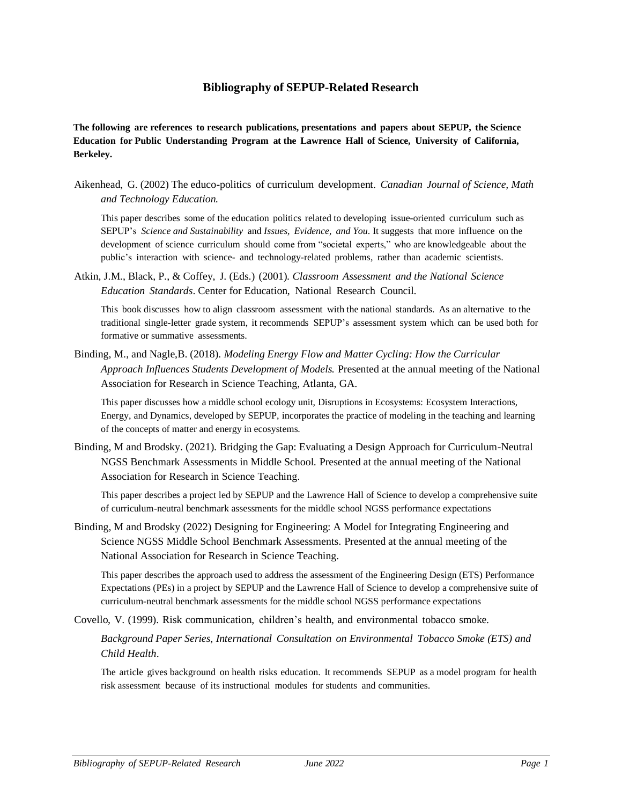## **Bibliography of SEPUP-Related Research**

**The following are references to research publications, presentations and papers about SEPUP, the Science Education for Public Understanding Program at the Lawrence Hall of Science, University of California, Berkeley.**

Aikenhead, G. (2002) The educo-politics of curriculum development. *Canadian Journal of Science, Math and Technology Education.*

This paper describes some of the education politics related to developing issue-oriented curriculum such as SEPUP's *Science and Sustainability* and *Issues, Evidence, and You*. It suggests that more influence on the development of science curriculum should come from "societal experts," who are knowledgeable about the public's interaction with science- and technology-related problems, rather than academic scientists.

Atkin, J.M., Black, P., & Coffey, J. (Eds.) (2001). *Classroom Assessment and the National Science Education Standards*. Center for Education, National Research Council.

This book discusses how to align classroom assessment with the national standards. As an alternative to the traditional single-letter grade system, it recommends SEPUP's assessment system which can be used both for formative or summative assessments.

Binding, M., and Nagle,B. (2018). *Modeling Energy Flow and Matter Cycling: How the Curricular Approach Influences Students Development of Models.* Presented at the annual meeting of the National Association for Research in Science Teaching, Atlanta, GA.

This paper discusses how a middle school ecology unit, Disruptions in Ecosystems: Ecosystem Interactions, Energy, and Dynamics, developed by SEPUP, incorporates the practice of modeling in the teaching and learning of the concepts of matter and energy in ecosystems.

Binding, M and Brodsky. (2021). Bridging the Gap: Evaluating a Design Approach for Curriculum-Neutral NGSS Benchmark Assessments in Middle School. Presented at the annual meeting of the National Association for Research in Science Teaching.

This paper describes a project led by SEPUP and the Lawrence Hall of Science to develop a comprehensive suite of curriculum-neutral benchmark assessments for the middle school NGSS performance expectations

Binding, M and Brodsky (2022) Designing for Engineering: A Model for Integrating Engineering and Science NGSS Middle School Benchmark Assessments. Presented at the annual meeting of the National Association for Research in Science Teaching.

This paper describes the approach used to address the assessment of the Engineering Design (ETS) Performance Expectations (PEs) in a project by SEPUP and the Lawrence Hall of Science to develop a comprehensive suite of curriculum-neutral benchmark assessments for the middle school NGSS performance expectations

Covello, V. (1999). Risk communication, children's health, and environmental tobacco smoke.

*Background Paper Series, International Consultation on Environmental Tobacco Smoke (ETS) and Child Health*.

The article gives background on health risks education. It recommends SEPUP as a model program for health risk assessment because of its instructional modules for students and communities.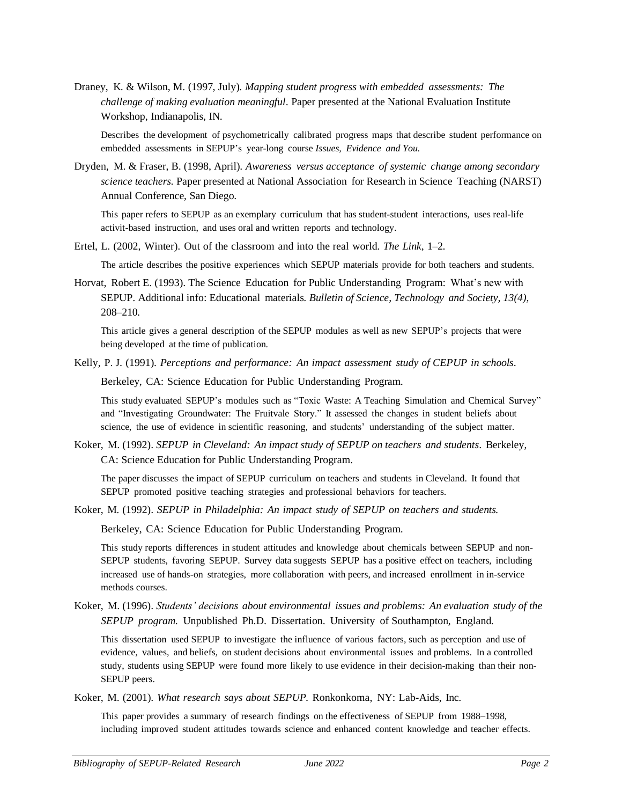Draney, K. & Wilson, M. (1997, July). *Mapping student progress with embedded assessments: The challenge of making evaluation meaningful*. Paper presented at the National Evaluation Institute Workshop, Indianapolis, IN.

Describes the development of psychometrically calibrated progress maps that describe student performance on embedded assessments in SEPUP's year-long course *Issues, Evidence and You*.

Dryden, M. & Fraser, B. (1998, April). *Awareness versus acceptance of systemic change among secondary science teachers.* Paper presented at National Association for Research in Science Teaching (NARST) Annual Conference, San Diego.

This paper refers to SEPUP as an exemplary curriculum that has student-student interactions, uses real-life activit-based instruction, and uses oral and written reports and technology.

Ertel, L. (2002, Winter). Out of the classroom and into the real world. *The Link*, 1–2.

The article describes the positive experiences which SEPUP materials provide for both teachers and students.

Horvat, Robert E. (1993). The Science Education for Public Understanding Program: What's new with SEPUP. Additional info: Educational materials. *Bulletin of Science, Technology and Society, 13(4),*  208–210.

This article gives a general description of the SEPUP modules as well as new SEPUP's projects that were being developed at the time of publication.

Kelly, P. J. (1991). *Perceptions and performance: An impact assessment study of CEPUP in schools*.

Berkeley, CA: Science Education for Public Understanding Program.

This study evaluated SEPUP's modules such as "Toxic Waste: A Teaching Simulation and Chemical Survey" and "Investigating Groundwater: The Fruitvale Story." It assessed the changes in student beliefs about science, the use of evidence in scientific reasoning, and students' understanding of the subject matter.

Koker, M. (1992). *SEPUP in Cleveland: An impact study of SEPUP on teachers and students*. Berkeley, CA: Science Education for Public Understanding Program.

The paper discusses the impact of SEPUP curriculum on teachers and students in Cleveland. It found that SEPUP promoted positive teaching strategies and professional behaviors for teachers.

Koker, M. (1992). *SEPUP in Philadelphia: An impact study of SEPUP on teachers and students.*

Berkeley, CA: Science Education for Public Understanding Program.

This study reports differences in student attitudes and knowledge about chemicals between SEPUP and non-SEPUP students, favoring SEPUP. Survey data suggests SEPUP has a positive effect on teachers, including increased use of hands-on strategies, more collaboration with peers, and increased enrollment in in-service methods courses.

Koker, M. (1996). *Students' decisions about environmental issues and problems: An evaluation study of the SEPUP program.* Unpublished Ph.D. Dissertation. University of Southampton, England.

This dissertation used SEPUP to investigate the influence of various factors, such as perception and use of evidence, values, and beliefs, on student decisions about environmental issues and problems. In a controlled study, students using SEPUP were found more likely to use evidence in their decision-making than their non-SEPUP peers.

Koker, M. (2001). *What research says about SEPUP.* Ronkonkoma, NY: Lab-Aids, Inc.

This paper provides a summary of research findings on the effectiveness of SEPUP from 1988–1998, including improved student attitudes towards science and enhanced content knowledge and teacher effects.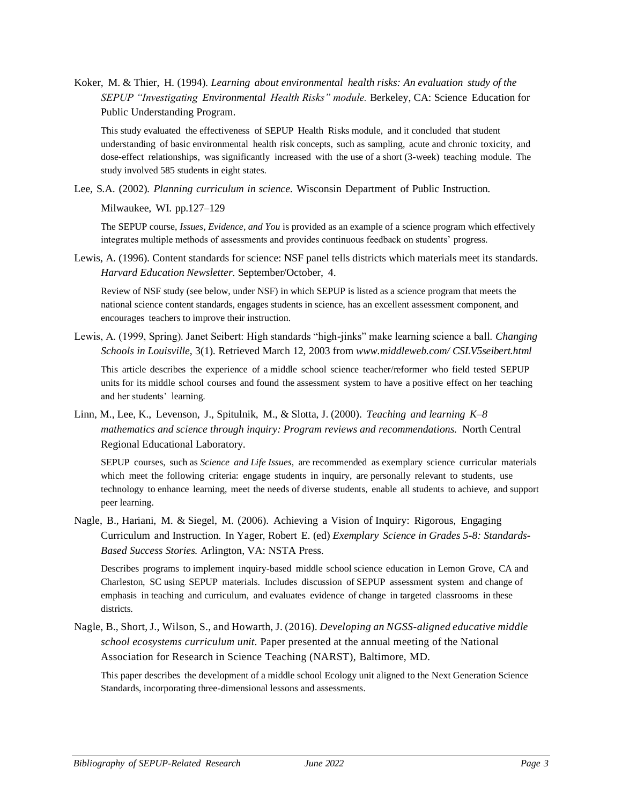Koker, M. & Thier, H. (1994). *Learning about environmental health risks: An evaluation study of the SEPUP "Investigating Environmental Health Risks" module.* Berkeley, CA: Science Education for Public Understanding Program.

This study evaluated the effectiveness of SEPUP Health Risks module, and it concluded that student understanding of basic environmental health risk concepts, such as sampling, acute and chronic toxicity, and dose-effect relationships, was significantly increased with the use of a short (3-week) teaching module. The study involved 585 students in eight states.

Lee, S.A. (2002). *Planning curriculum in science*. Wisconsin Department of Public Instruction.

Milwaukee, WI. pp.127–129

The SEPUP course, *Issues, Evidence, and You* is provided as an example of a science program which effectively integrates multiple methods of assessments and provides continuous feedback on students' progress.

Lewis, A. (1996). Content standards for science: NSF panel tells districts which materials meet its standards. *Harvard Education Newsletter*. September/October, 4.

Review of NSF study (see below, under NSF) in which SEPUP is listed as a science program that meets the national science content standards, engages students in science, has an excellent assessment component, and encourages teachers to improve their instruction.

Lewis, A. (1999, Spring). Janet Seibert: High standards "high-jinks" make learning science a ball. *Changing Schools in Louisville*, 3(1). Retrieved March 12, 2003 from *[www.middleweb.com/](http://www.middleweb.com/) CSLV5seibert.html*

This article describes the experience of a middle school science teacher/reformer who field tested SEPUP units for its middle school courses and found the assessment system to have a positive effect on her teaching and her students' learning.

Linn, M., Lee, K., Levenson, J., Spitulnik, M., & Slotta, J. (2000). *Teaching and learning K–8 mathematics and science through inquiry: Program reviews and recommendations.* North Central Regional Educational Laboratory.

SEPUP courses, such as *Science and Life Issues*, are recommended as exemplary science curricular materials which meet the following criteria: engage students in inquiry, are personally relevant to students, use technology to enhance learning, meet the needs of diverse students, enable all students to achieve, and support peer learning.

Nagle, B., Hariani, M. & Siegel, M. (2006). Achieving a Vision of Inquiry: Rigorous, Engaging Curriculum and Instruction. In Yager, Robert E. (ed) *Exemplary Science in Grades 5-8: Standards-Based Success Stories.* Arlington, VA: NSTA Press.

Describes programs to implement inquiry-based middle school science education in Lemon Grove, CA and Charleston, SC using SEPUP materials. Includes discussion of SEPUP assessment system and change of emphasis in teaching and curriculum, and evaluates evidence of change in targeted classrooms in these districts.

Nagle, B., Short, J., Wilson, S., and Howarth, J. (2016). *Developing an NGSS-aligned educative middle school ecosystems curriculum unit*. Paper presented at the annual meeting of the National Association for Research in Science Teaching (NARST), Baltimore, MD.

This paper describes the development of a middle school Ecology unit aligned to the Next Generation Science Standards, incorporating three-dimensional lessons and assessments.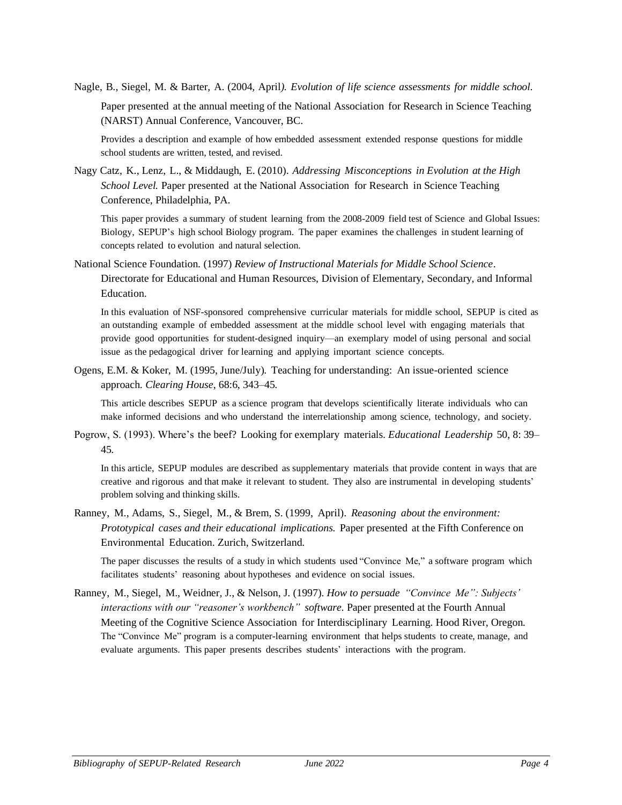Nagle, B., Siegel, M. & Barter, A. (2004, April*). Evolution of life science assessments for middle school*. Paper presented at the annual meeting of the National Association for Research in Science Teaching (NARST) Annual Conference, Vancouver, BC.

Provides a description and example of how embedded assessment extended response questions for middle school students are written, tested, and revised.

Nagy Catz, K., Lenz, L., & Middaugh, E. (2010). *Addressing Misconceptions in Evolution at the High School Level.* Paper presented at the National Association for Research in Science Teaching Conference, Philadelphia, PA.

This paper provides a summary of student learning from the 2008-2009 field test of Science and Global Issues: Biology, SEPUP's high school Biology program. The paper examines the challenges in student learning of concepts related to evolution and natural selection.

National Science Foundation. (1997) *Review of Instructional Materials for Middle School Science*. Directorate for Educational and Human Resources, Division of Elementary, Secondary, and Informal **Education** 

In this evaluation of NSF-sponsored comprehensive curricular materials for middle school, SEPUP is cited as an outstanding example of embedded assessment at the middle school level with engaging materials that provide good opportunities for student-designed inquiry—an exemplary model of using personal and social issue as the pedagogical driver for learning and applying important science concepts.

Ogens, E.M. & Koker, M. (1995, June/July). Teaching for understanding: An issue-oriented science approach. *Clearing House*, 68:6, 343–45.

This article describes SEPUP as a science program that develops scientifically literate individuals who can make informed decisions and who understand the interrelationship among science, technology, and society.

Pogrow, S. (1993). Where's the beef? Looking for exemplary materials. *Educational Leadership* 50, 8: 39– 45.

In this article, SEPUP modules are described as supplementary materials that provide content in ways that are creative and rigorous and that make it relevant to student. They also are instrumental in developing students' problem solving and thinking skills.

Ranney, M., Adams, S., Siegel, M., & Brem, S. (1999, April). *Reasoning about the environment: Prototypical cases and their educational implications.* Paper presented at the Fifth Conference on Environmental Education. Zurich, Switzerland.

The paper discusses the results of a study in which students used "Convince Me," a software program which facilitates students' reasoning about hypotheses and evidence on social issues.

Ranney, M., Siegel, M., Weidner, J., & Nelson, J. (1997). *How to persuade "Convince Me": Subjects' interactions with our "reasoner's workbench" software.* Paper presented at the Fourth Annual Meeting of the Cognitive Science Association for Interdisciplinary Learning. Hood River, Oregon. The "Convince Me" program is a computer-learning environment that helps students to create, manage, and evaluate arguments. This paper presents describes students' interactions with the program.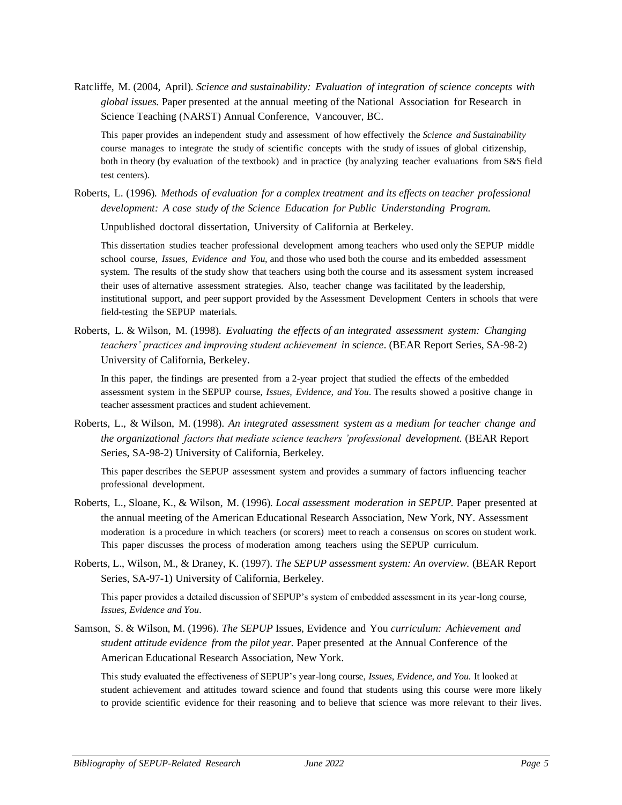Ratcliffe, M. (2004, April). *Science and sustainability: Evaluation of integration of science concepts with global issues.* Paper presented at the annual meeting of the National Association for Research in Science Teaching (NARST) Annual Conference, Vancouver, BC.

This paper provides an independent study and assessment of how effectively the *Science and Sustainability*  course manages to integrate the study of scientific concepts with the study of issues of global citizenship, both in theory (by evaluation of the textbook) and in practice (by analyzing teacher evaluations from S&S field test centers).

Roberts, L. (1996). *Methods of evaluation for a complex treatment and its effects on teacher professional development: A case study of the Science Education for Public Understanding Program.*

Unpublished doctoral dissertation, University of California at Berkeley.

This dissertation studies teacher professional development among teachers who used only the SEPUP middle school course, *Issues, Evidence and You,* and those who used both the course and its embedded assessment system. The results of the study show that teachers using both the course and its assessment system increased their uses of alternative assessment strategies. Also, teacher change was facilitated by the leadership, institutional support, and peer support provided by the Assessment Development Centers in schools that were field-testing the SEPUP materials.

Roberts, L. & Wilson, M. (1998). *Evaluating the effects of an integrated assessment system: Changing teachers' practices and improving student achievement in science*. (BEAR Report Series, SA-98-2) University of California, Berkeley.

In this paper, the findings are presented from a 2-year project that studied the effects of the embedded assessment system in the SEPUP course, *Issues, Evidence, and You*. The results showed a positive change in teacher assessment practices and student achievement.

Roberts, L., & Wilson, M. (1998). *An integrated assessment system as a medium for teacher change and the organizational factors that mediate science teachers 'professional development.* (BEAR Report Series, SA-98-2) University of California, Berkeley.

This paper describes the SEPUP assessment system and provides a summary of factors influencing teacher professional development.

- Roberts, L., Sloane, K., & Wilson, M. (1996). *Local assessment moderation in SEPUP.* Paper presented at the annual meeting of the American Educational Research Association, New York, NY. Assessment moderation is a procedure in which teachers (or scorers) meet to reach a consensus on scores on student work. This paper discusses the process of moderation among teachers using the SEPUP curriculum.
- Roberts, L., Wilson, M., & Draney, K. (1997). *The SEPUP assessment system: An overview.* (BEAR Report Series, SA-97-1) University of California, Berkeley.

This paper provides a detailed discussion of SEPUP's system of embedded assessment in its year-long course, *Issues, Evidence and You*.

Samson, S. & Wilson, M. (1996). *The SEPUP* Issues, Evidence and You *curriculum: Achievement and student attitude evidence from the pilot year.* Paper presented at the Annual Conference of the American Educational Research Association, New York.

This study evaluated the effectiveness of SEPUP's year-long course, *Issues, Evidence, and You.* It looked at student achievement and attitudes toward science and found that students using this course were more likely to provide scientific evidence for their reasoning and to believe that science was more relevant to their lives.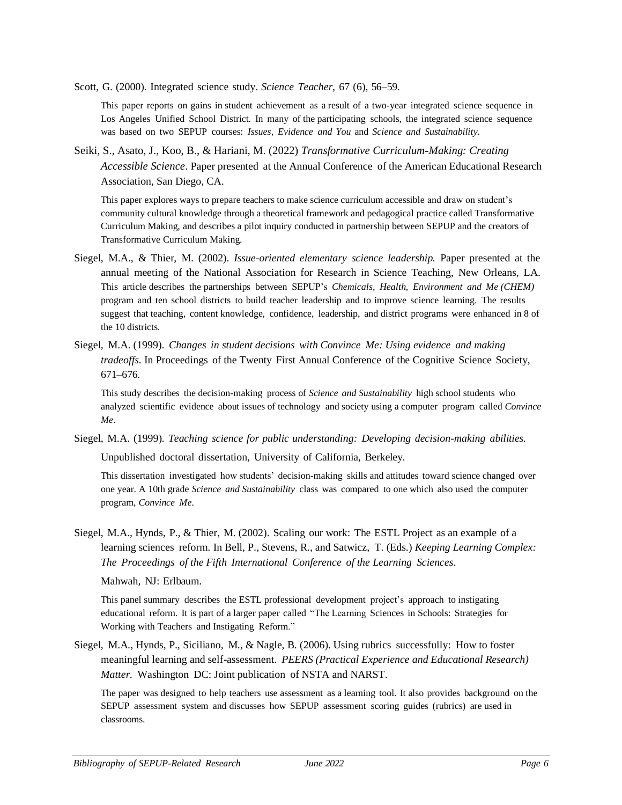Scott, G. (2000). Integrated science study. *Science Teacher*, 67 (6), 56–59.

This paper reports on gains in student achievement as a result of a two-year integrated science sequence in Los Angeles Unified School District. In many of the participating schools, the integrated science sequence was based on two SEPUP courses: *Issues, Evidence and You* and *Science and Sustainability*.

Seiki, S., Asato, J., Koo, B., & Hariani, M. (2022) *Transformative Curriculum-Making: Creating Accessible Science*. Paper presented at the Annual Conference of the American Educational Research Association, San Diego, CA.

This paper explores ways to prepare teachers to make science curriculum accessible and draw on student's community cultural knowledge through a theoretical framework and pedagogical practice called Transformative Curriculum Making, and describes a pilot inquiry conducted in partnership between SEPUP and the creators of Transformative Curriculum Making.

- Siegel, M.A., & Thier, M. (2002). *Issue-oriented elementary science leadership.* Paper presented at the annual meeting of the National Association for Research in Science Teaching, New Orleans, LA. This article describes the partnerships between SEPUP's *Chemicals, Health, Environment and Me (CHEM)*  program and ten school districts to build teacher leadership and to improve science learning. The results suggest that teaching, content knowledge, confidence, leadership, and district programs were enhanced in 8 of the 10 districts.
- Siegel, M.A. (1999). *Changes in student decisions with Convince Me: Using evidence and making tradeoffs.* In Proceedings of the Twenty First Annual Conference of the Cognitive Science Society, 671–676.

This study describes the decision-making process of *Science and Sustainability* high school students who analyzed scientific evidence about issues of technology and society using a computer program called *Convince Me*.

Siegel, M.A. (1999). *Teaching science for public understanding: Developing decision-making abilities.*

Unpublished doctoral dissertation, University of California, Berkeley.

This dissertation investigated how students' decision-making skills and attitudes toward science changed over one year. A 10th grade *Science and Sustainability* class was compared to one which also used the computer program, *Convince Me*.

Siegel, M.A., Hynds, P., & Thier, M. (2002). Scaling our work: The ESTL Project as an example of a learning sciences reform. In Bell, P., Stevens, R., and Satwicz, T. (Eds.) *Keeping Learning Complex: The Proceedings of the Fifth International Conference of the Learning Sciences*.

Mahwah, NJ: Erlbaum.

This panel summary describes the ESTL professional development project's approach to instigating educational reform. It is part of a larger paper called "The Learning Sciences in Schools: Strategies for Working with Teachers and Instigating Reform."

Siegel, M.A., Hynds, P., Siciliano, M., & Nagle, B. (2006). Using rubrics successfully: How to foster meaningful learning and self-assessment. *PEERS (Practical Experience and Educational Research) Matter.* Washington DC: Joint publication of NSTA and NARST.

The paper was designed to help teachers use assessment as a learning tool. It also provides background on the SEPUP assessment system and discusses how SEPUP assessment scoring guides (rubrics) are used in classrooms.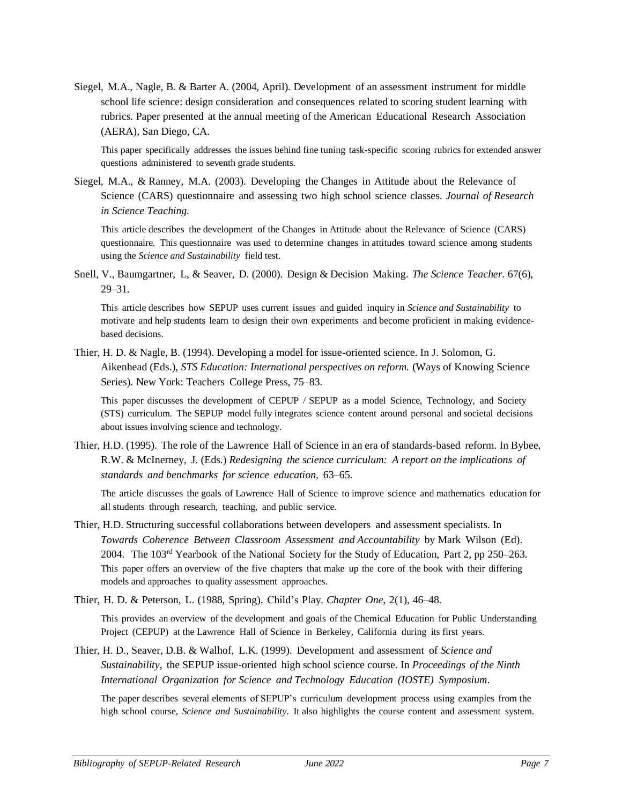Siegel, M.A., Nagle, B. & Barter A. (2004, April). Development of an assessment instrument for middle school life science: design consideration and consequences related to scoring student learning with rubrics. Paper presented at the annual meeting of the American Educational Research Association (AERA), San Diego, CA.

This paper specifically addresses the issues behind fine tuning task-specific scoring rubrics for extended answer questions administered to seventh grade students.

Siegel, M.A., & Ranney, M.A. (2003). Developing the Changes in Attitude about the Relevance of Science (CARS) questionnaire and assessing two high school science classes. *Journal of Research in Science Teaching.*

This article describes the development of the Changes in Attitude about the Relevance of Science (CARS) questionnaire. This questionnaire was used to determine changes in attitudes toward science among students using the *Science and Sustainability* field test.

Snell, V., Baumgartner, L, & Seaver, D. (2000). Design & Decision Making. *The Science Teacher*. 67(6), 29–31.

This article describes how SEPUP uses current issues and guided inquiry in *Science and Sustainability* to motivate and help students learn to design their own experiments and become proficient in making evidencebased decisions.

Thier, H. D. & Nagle, B. (1994). Developing a model for issue-oriented science. In J. Solomon, G. Aikenhead (Eds.), *STS Education: International perspectives on reform.* (Ways of Knowing Science Series). New York: Teachers College Press, 75–83.

This paper discusses the development of CEPUP / SEPUP as a model Science, Technology, and Society (STS) curriculum. The SEPUP model fully integrates science content around personal and societal decisions about issues involving science and technology.

Thier, H.D. (1995). The role of the Lawrence Hall of Science in an era of standards-based reform. In Bybee, R.W. & McInerney, J. (Eds.) *Redesigning the science curriculum: A report on the implications of standards and benchmarks for science education,* 63–65.

The article discusses the goals of Lawrence Hall of Science to improve science and mathematics education for all students through research, teaching, and public service.

- Thier, H.D. Structuring successful collaborations between developers and assessment specialists. In *Towards Coherence Between Classroom Assessment and Accountability* by Mark Wilson (Ed). 2004. The  $103<sup>rd</sup>$  Yearbook of the National Society for the Study of Education, Part 2, pp 250–263. This paper offers an overview of the five chapters that make up the core of the book with their differing models and approaches to quality assessment approaches.
- Thier, H. D. & Peterson, L. (1988, Spring). Child's Play. *Chapter One*, 2(1), 46–48.

This provides an overview of the development and goals of the Chemical Education for Public Understanding Project (CEPUP) at the Lawrence Hall of Science in Berkeley, California during its first years.

Thier, H. D., Seaver, D.B. & Walhof, L.K. (1999). Development and assessment of *Science and Sustainability*, the SEPUP issue-oriented high school science course. In *Proceedings of the Ninth International Organization for Science and Technology Education (IOSTE) Symposium*.

The paper describes several elements of SEPUP's curriculum development process using examples from the high school course, *Science and Sustainability*. It also highlights the course content and assessment system.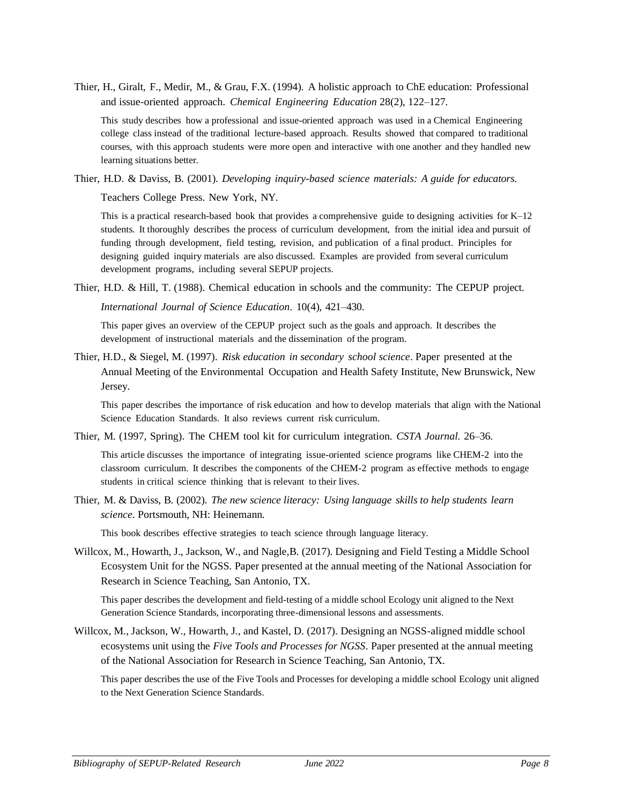Thier, H., Giralt, F., Medir, M., & Grau, F.X. (1994). A holistic approach to ChE education: Professional and issue-oriented approach. *Chemical Engineering Education* 28(2), 122–127.

This study describes how a professional and issue-oriented approach was used in a Chemical Engineering college class instead of the traditional lecture-based approach. Results showed that compared to traditional courses, with this approach students were more open and interactive with one another and they handled new learning situations better.

Thier, H.D. & Daviss, B. (2001). *Developing inquiry-based science materials: A guide for educators*.

Teachers College Press. New York, NY.

This is a practical research-based book that provides a comprehensive guide to designing activities for K–12 students. It thoroughly describes the process of curriculum development, from the initial idea and pursuit of funding through development, field testing, revision, and publication of a final product. Principles for designing guided inquiry materials are also discussed. Examples are provided from several curriculum development programs, including several SEPUP projects.

Thier, H.D. & Hill, T. (1988). Chemical education in schools and the community: The CEPUP project.

*International Journal of Science Education*. 10(4), 421–430.

This paper gives an overview of the CEPUP project such as the goals and approach. It describes the development of instructional materials and the dissemination of the program.

Thier, H.D., & Siegel, M. (1997). *Risk education in secondary school science*. Paper presented at the Annual Meeting of the Environmental Occupation and Health Safety Institute, New Brunswick, New Jersey.

This paper describes the importance of risk education and how to develop materials that align with the National Science Education Standards. It also reviews current risk curriculum.

Thier, M. (1997, Spring). The CHEM tool kit for curriculum integration. *CSTA Journal.* 26–36.

This article discusses the importance of integrating issue-oriented science programs like CHEM-2 into the classroom curriculum. It describes the components of the CHEM-2 program as effective methods to engage students in critical science thinking that is relevant to their lives.

Thier, M. & Daviss, B. (2002). *The new science literacy: Using language skills to help students learn science*. Portsmouth, NH: Heinemann.

This book describes effective strategies to teach science through language literacy.

Willcox, M., Howarth, J., Jackson, W., and Nagle,B. (2017). Designing and Field Testing a Middle School Ecosystem Unit for the NGSS. Paper presented at the annual meeting of the National Association for Research in Science Teaching, San Antonio, TX.

This paper describes the development and field-testing of a middle school Ecology unit aligned to the Next Generation Science Standards, incorporating three-dimensional lessons and assessments.

Willcox, M., Jackson, W., Howarth, J., and Kastel, D. (2017). Designing an NGSS-aligned middle school ecosystems unit using the *Five Tools and Processes for NGSS*. Paper presented at the annual meeting of the National Association for Research in Science Teaching, San Antonio, TX.

This paper describes the use of the Five Tools and Processes for developing a middle school Ecology unit aligned to the Next Generation Science Standards.